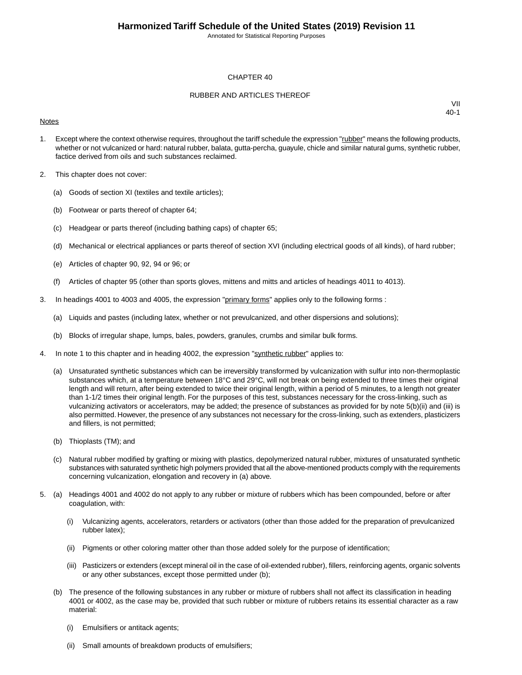Annotated for Statistical Reporting Purposes

#### CHAPTER 40

#### RUBBER AND ARTICLES THEREOF

#### **Notes**

- 1. Except where the context otherwise requires, throughout the tariff schedule the expression "rubber" means the following products, whether or not vulcanized or hard: natural rubber, balata, gutta-percha, guayule, chicle and similar natural gums, synthetic rubber, factice derived from oils and such substances reclaimed.
- 2. This chapter does not cover:
	- (a) Goods of section XI (textiles and textile articles);
	- (b) Footwear or parts thereof of chapter 64;
	- (c) Headgear or parts thereof (including bathing caps) of chapter 65;
	- (d) Mechanical or electrical appliances or parts thereof of section XVI (including electrical goods of all kinds), of hard rubber;
	- (e) Articles of chapter 90, 92, 94 or 96; or
	- (f) Articles of chapter 95 (other than sports gloves, mittens and mitts and articles of headings 4011 to 4013).
- 3. In headings 4001 to 4003 and 4005, the expression "primary forms" applies only to the following forms :
	- (a) Liquids and pastes (including latex, whether or not prevulcanized, and other dispersions and solutions);
	- (b) Blocks of irregular shape, lumps, bales, powders, granules, crumbs and similar bulk forms.
- 4. In note 1 to this chapter and in heading 4002, the expression "synthetic rubber" applies to:
	- (a) Unsaturated synthetic substances which can be irreversibly transformed by vulcanization with sulfur into non-thermoplastic substances which, at a temperature between 18°C and 29°C, will not break on being extended to three times their original length and will return, after being extended to twice their original length, within a period of 5 minutes, to a length not greater than 1-1/2 times their original length. For the purposes of this test, substances necessary for the cross-linking, such as vulcanizing activators or accelerators, may be added; the presence of substances as provided for by note 5(b)(ii) and (iii) is also permitted. However, the presence of any substances not necessary for the cross-linking, such as extenders, plasticizers and fillers, is not permitted;
	- (b) Thioplasts (TM); and
	- (c) Natural rubber modified by grafting or mixing with plastics, depolymerized natural rubber, mixtures of unsaturated synthetic substances with saturated synthetic high polymers provided that all the above-mentioned products comply with the requirements concerning vulcanization, elongation and recovery in (a) above.
- 5. (a) Headings 4001 and 4002 do not apply to any rubber or mixture of rubbers which has been compounded, before or after coagulation, with:
	- (i) Vulcanizing agents, accelerators, retarders or activators (other than those added for the preparation of prevulcanized rubber latex);
	- (ii) Pigments or other coloring matter other than those added solely for the purpose of identification;
	- (iii) Pasticizers or extenders (except mineral oil in the case of oil-extended rubber), fillers, reinforcing agents, organic solvents or any other substances, except those permitted under (b);
	- (b) The presence of the following substances in any rubber or mixture of rubbers shall not affect its classification in heading 4001 or 4002, as the case may be, provided that such rubber or mixture of rubbers retains its essential character as a raw material:
		- (i) Emulsifiers or antitack agents;
		- (ii) Small amounts of breakdown products of emulsifiers;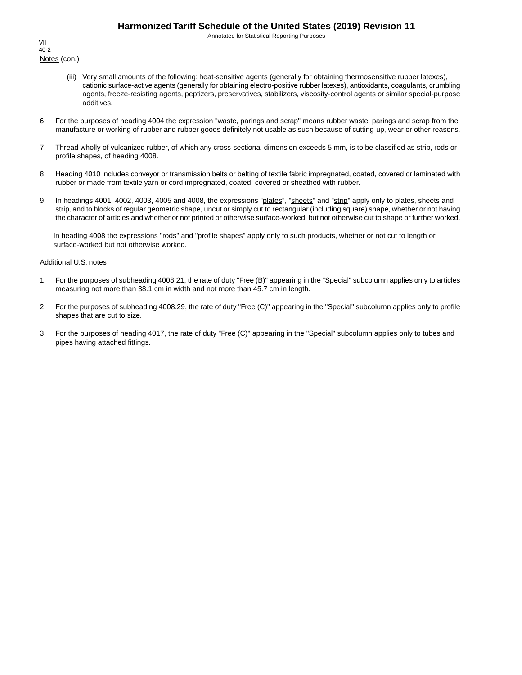Annotated for Statistical Reporting Purposes

Notes (con.) VII 40-2

- (iii) Very small amounts of the following: heat-sensitive agents (generally for obtaining thermosensitive rubber latexes), cationic surface-active agents (generally for obtaining electro-positive rubber latexes), antioxidants, coagulants, crumbling agents, freeze-resisting agents, peptizers, preservatives, stabilizers, viscosity-control agents or similar special-purpose additives.
- 6. For the purposes of heading 4004 the expression "waste, parings and scrap" means rubber waste, parings and scrap from the manufacture or working of rubber and rubber goods definitely not usable as such because of cutting-up, wear or other reasons.
- 7. Thread wholly of vulcanized rubber, of which any cross-sectional dimension exceeds 5 mm, is to be classified as strip, rods or profile shapes, of heading 4008.
- 8. Heading 4010 includes conveyor or transmission belts or belting of textile fabric impregnated, coated, covered or laminated with rubber or made from textile yarn or cord impregnated, coated, covered or sheathed with rubber.
- 9. In headings 4001, 4002, 4003, 4005 and 4008, the expressions "plates", "sheets" and "strip" apply only to plates, sheets and strip, and to blocks of regular geometric shape, uncut or simply cut to rectangular (including square) shape, whether or not having the character of articles and whether or not printed or otherwise surface-worked, but not otherwise cut to shape or further worked.

In heading 4008 the expressions "rods" and "profile shapes" apply only to such products, whether or not cut to length or surface-worked but not otherwise worked.

#### Additional U.S. notes

- 1. For the purposes of subheading 4008.21, the rate of duty "Free (B)" appearing in the "Special" subcolumn applies only to articles measuring not more than 38.1 cm in width and not more than 45.7 cm in length.
- 2. For the purposes of subheading 4008.29, the rate of duty "Free (C)" appearing in the "Special" subcolumn applies only to profile shapes that are cut to size.
- 3. For the purposes of heading 4017, the rate of duty "Free (C)" appearing in the "Special" subcolumn applies only to tubes and pipes having attached fittings.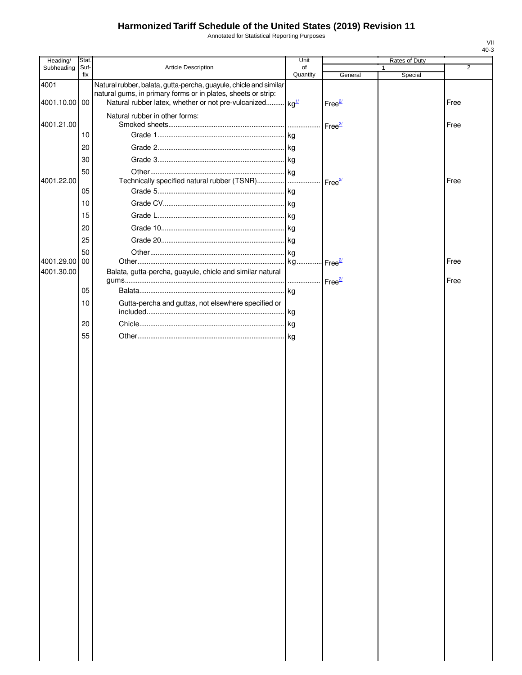Annotated for Statistical Reporting Purposes

| Heading/              | Stat.       |                                                                                                                                                                                                            | Unit           |                      | Rates of Duty |      |
|-----------------------|-------------|------------------------------------------------------------------------------------------------------------------------------------------------------------------------------------------------------------|----------------|----------------------|---------------|------|
| Subheading            | Suf-<br>fix | Article Description                                                                                                                                                                                        | of<br>Quantity | General              | Special       | 2    |
| 4001<br>4001.10.00 00 |             | Natural rubber, balata, gutta-percha, guayule, chicle and similar<br>natural gums, in primary forms or in plates, sheets or strip:<br>Natural rubber latex, whether or not pre-vulcanized kg <sup>1/</sup> |                | Free <sup>2/</sup>   |               | Free |
| 4001.21.00            |             | Natural rubber in other forms:                                                                                                                                                                             |                | Free $\frac{2}{2}$   |               | Free |
|                       | 10          |                                                                                                                                                                                                            |                |                      |               |      |
|                       | 20          |                                                                                                                                                                                                            |                |                      |               |      |
|                       | 30          |                                                                                                                                                                                                            |                |                      |               |      |
| 4001.22.00            | 50          | Technically specified natural rubber (TSNR)                                                                                                                                                                |                |                      |               | Free |
|                       | 05          |                                                                                                                                                                                                            |                | Free <sup>27</sup>   |               |      |
|                       | 10          |                                                                                                                                                                                                            |                |                      |               |      |
|                       | 15          |                                                                                                                                                                                                            |                |                      |               |      |
|                       | 20          |                                                                                                                                                                                                            |                |                      |               |      |
|                       | 25          |                                                                                                                                                                                                            |                |                      |               |      |
|                       | 50          |                                                                                                                                                                                                            |                |                      |               |      |
| 4001.29.00            | <b>100</b>  |                                                                                                                                                                                                            | kg             | ⊶ Free <sup>2/</sup> |               | Free |
| 4001.30.00            |             | Balata, gutta-percha, guayule, chicle and similar natural                                                                                                                                                  |                |                      |               | Free |
|                       | 05          |                                                                                                                                                                                                            |                |                      |               |      |
|                       | 10          | Gutta-percha and guttas, not elsewhere specified or                                                                                                                                                        |                |                      |               |      |
|                       | 20          |                                                                                                                                                                                                            |                |                      |               |      |
|                       | 55          |                                                                                                                                                                                                            |                |                      |               |      |
|                       |             |                                                                                                                                                                                                            |                |                      |               |      |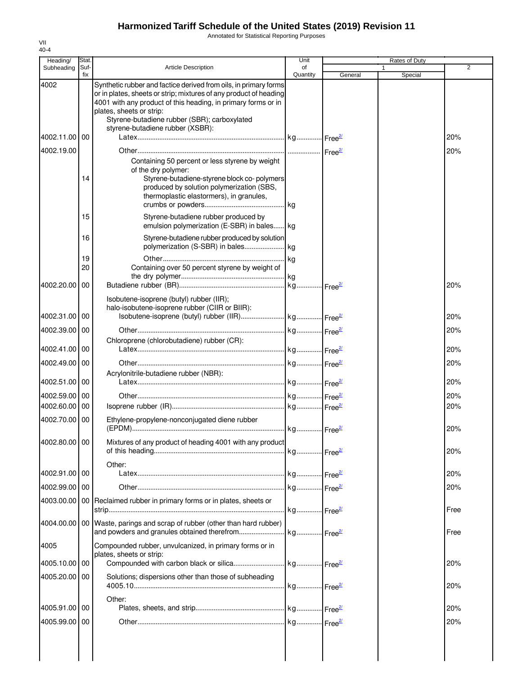Annotated for Statistical Reporting Purposes

| Heading/      | Stat.       |                                                                                                                                                                                                                                                                                                                        | Unit           |         | Rates of Duty |      |
|---------------|-------------|------------------------------------------------------------------------------------------------------------------------------------------------------------------------------------------------------------------------------------------------------------------------------------------------------------------------|----------------|---------|---------------|------|
| Subheading    | Suf·<br>fix | <b>Article Description</b>                                                                                                                                                                                                                                                                                             | of<br>Quantity | General | Special       | 2    |
| 4002          |             | Synthetic rubber and factice derived from oils, in primary forms<br>or in plates, sheets or strip; mixtures of any product of heading<br>4001 with any product of this heading, in primary forms or in<br>plates, sheets or strip:<br>Styrene-butadiene rubber (SBR); carboxylated<br>styrene-butadiene rubber (XSBR): |                |         |               |      |
| 4002.11.00    | 00          |                                                                                                                                                                                                                                                                                                                        |                |         |               | 20%  |
| 4002.19.00    |             |                                                                                                                                                                                                                                                                                                                        |                |         |               | 20%  |
|               | 14          | Containing 50 percent or less styrene by weight<br>of the dry polymer:<br>Styrene-butadiene-styrene block co-polymers<br>produced by solution polymerization (SBS,<br>thermoplastic elastormers), in granules,                                                                                                         |                |         |               |      |
|               | 15          | Styrene-butadiene rubber produced by<br>emulsion polymerization (E-SBR) in bales kg                                                                                                                                                                                                                                    |                |         |               |      |
|               | 16<br>19    | Styrene-butadiene rubber produced by solution                                                                                                                                                                                                                                                                          |                |         |               |      |
|               | 20          | Containing over 50 percent styrene by weight of                                                                                                                                                                                                                                                                        | . kg           |         |               |      |
| 4002.20.00    | 00          |                                                                                                                                                                                                                                                                                                                        |                |         |               | 20%  |
| 4002.31.00 00 |             | Isobutene-isoprene (butyl) rubber (IIR);<br>halo-isobutene-isoprene rubber (CIIR or BIIR):                                                                                                                                                                                                                             |                |         |               | 20%  |
| 4002.39.00    | 00          |                                                                                                                                                                                                                                                                                                                        |                |         |               | 20%  |
| 4002.41.00    | 00          | Chloroprene (chlorobutadiene) rubber (CR):                                                                                                                                                                                                                                                                             |                |         |               | 20%  |
| 4002.49.00    | 00          |                                                                                                                                                                                                                                                                                                                        |                |         |               | 20%  |
| 4002.51.00 00 |             | Acrylonitrile-butadiene rubber (NBR):                                                                                                                                                                                                                                                                                  |                |         |               | 20%  |
| 4002.59.00    | 00          |                                                                                                                                                                                                                                                                                                                        |                |         |               | 20%  |
| 4002.60.00    | 00          |                                                                                                                                                                                                                                                                                                                        |                |         |               | 20%  |
| 4002.70.00    | 00          | Ethylene-propylene-nonconjugated diene rubber                                                                                                                                                                                                                                                                          |                |         |               | 20%  |
| 4002.80.00 00 |             | Mixtures of any product of heading 4001 with any product                                                                                                                                                                                                                                                               |                |         |               | 20%  |
| 4002.91.00 00 |             | Other:                                                                                                                                                                                                                                                                                                                 |                |         |               | 20%  |
| 4002.99.00 00 |             |                                                                                                                                                                                                                                                                                                                        |                |         |               | 20%  |
| 4003.00.00    |             | 00 Reclaimed rubber in primary forms or in plates, sheets or                                                                                                                                                                                                                                                           |                |         |               | Free |
|               |             | 4004.00.00   00   Waste, parings and scrap of rubber (other than hard rubber)                                                                                                                                                                                                                                          |                |         |               | Free |
| 4005          |             | Compounded rubber, unvulcanized, in primary forms or in<br>plates, sheets or strip:                                                                                                                                                                                                                                    |                |         |               |      |
| 4005.10.00    | 00          |                                                                                                                                                                                                                                                                                                                        |                |         |               | 20%  |
| 4005.20.00 00 |             | Solutions; dispersions other than those of subheading                                                                                                                                                                                                                                                                  |                |         |               | 20%  |
| 4005.91.00 00 |             | Other:                                                                                                                                                                                                                                                                                                                 |                |         |               | 20%  |
| 4005.99.00 00 |             |                                                                                                                                                                                                                                                                                                                        |                |         |               | 20%  |
|               |             |                                                                                                                                                                                                                                                                                                                        |                |         |               |      |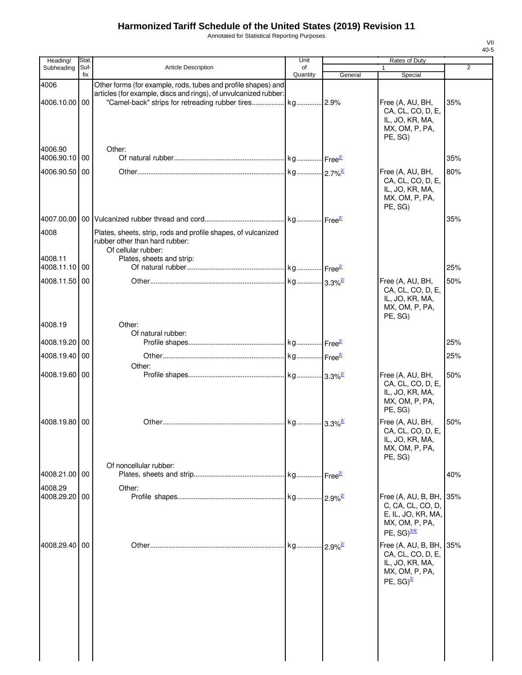Annotated for Statistical Reporting Purposes

| Heading/                 | Stat.       |                                                                                                                                                                                                | Unit                   |         | Rates of Duty                                                                                                  |                |
|--------------------------|-------------|------------------------------------------------------------------------------------------------------------------------------------------------------------------------------------------------|------------------------|---------|----------------------------------------------------------------------------------------------------------------|----------------|
| Subheading               | Suf-<br>fix | Article Description                                                                                                                                                                            | of<br>Quantity         | General | $\mathbf{1}$<br>Special                                                                                        | $\overline{2}$ |
| 4006<br>4006.10.00 00    |             | Other forms (for example, rods, tubes and profile shapes) and<br>articles (for example, discs and rings), of unvulcanized rubber:<br>"Camel-back" strips for retreading rubber tires  kg  2.9% |                        |         | Free (A, AU, BH,<br>CA, CL, CO, D, E,<br>IL, JO, KR, MA,<br>MX, OM, P, PA,<br>PE, SG)                          | 35%            |
| 4006.90<br>4006.90.10 00 |             | Other:                                                                                                                                                                                         |                        |         |                                                                                                                | 35%            |
| 4006.90.50 00            |             |                                                                                                                                                                                                |                        |         | Free (A, AU, BH,<br>CA, CL, CO, D, E,<br>IL, JO, KR, MA,<br>MX, OM, P, PA,<br>PE, SG)                          | 80%            |
|                          |             |                                                                                                                                                                                                |                        |         |                                                                                                                | 35%            |
| 4008<br>4008.11          |             | Plates, sheets, strip, rods and profile shapes, of vulcanized<br>rubber other than hard rubber:<br>Of cellular rubber:<br>Plates, sheets and strip:                                            |                        |         |                                                                                                                |                |
| 4008.11.10 00            |             |                                                                                                                                                                                                |                        |         |                                                                                                                | 25%            |
| 4008.11.50               | 00          |                                                                                                                                                                                                |                        |         | Free (A, AU, BH,<br>CA, CL, CO, D, E,<br>IL, JO, KR, MA,<br>MX, OM, P, PA,<br>PE, SG)                          | 50%            |
| 4008.19                  |             | Other:<br>Of natural rubber:                                                                                                                                                                   |                        |         |                                                                                                                |                |
| 4008.19.20               | 00          |                                                                                                                                                                                                |                        |         |                                                                                                                | 25%            |
| 4008.19.40 00            |             |                                                                                                                                                                                                |                        |         |                                                                                                                | 25%            |
| 4008.19.60 00            |             | Other:                                                                                                                                                                                         |                        |         | Free (A, AU, BH,<br>CA, CL, CO, D, E,<br>IL, JO, KR, MA,<br>MX, OM, P, PA,<br>PE, SG)                          | 50%            |
| 4008.19.80 00            |             | Of noncellular rubber:                                                                                                                                                                         |                        |         | Free (A, AU, BH,<br>CA, CL, CO, D, E,<br>IL, JO, KR, MA,<br>MX, OM, P, PA,<br>PE, SG)                          | 50%            |
| 4008.21.00 00            |             |                                                                                                                                                                                                |                        |         |                                                                                                                | 40%            |
| 4008.29<br>4008.29.20 00 |             | Other:                                                                                                                                                                                         |                        |         | Free (A, AU, B, BH,<br>C, CA, CL, CO, D,<br>E, IL, JO, KR, MA,<br>MX, OM, P, PA,<br>PE, $SG$ ) $\frac{3/4}{4}$ | 35%            |
| 4008.29.40 00            |             |                                                                                                                                                                                                | kg  2.9% <sup>2/</sup> |         | Free (A, AU, B, BH,<br>CA, CL, CO, D, E,<br>IL, JO, KR, MA,<br>MX, OM, P, PA,<br>PE, $SG)^{3/2}$               | 35%            |
|                          |             |                                                                                                                                                                                                |                        |         |                                                                                                                |                |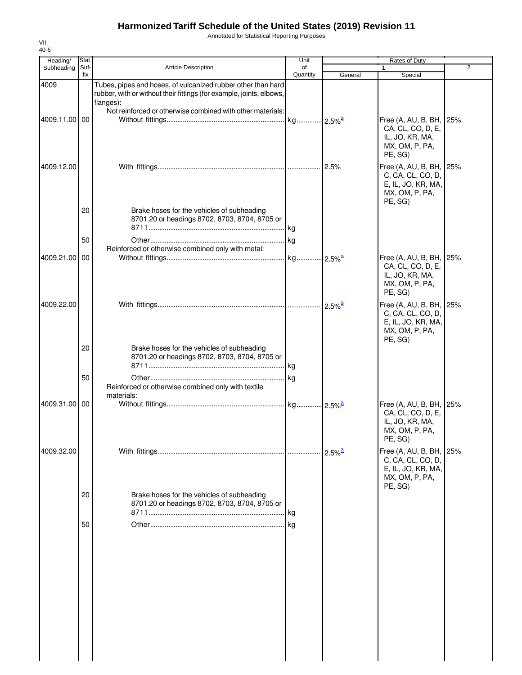Annotated for Statistical Reporting Purposes

| Heading/      | Stat.       |                                                                                                                                                   | Unit           |                        | Rates of Duty                                                                                   |                |
|---------------|-------------|---------------------------------------------------------------------------------------------------------------------------------------------------|----------------|------------------------|-------------------------------------------------------------------------------------------------|----------------|
| Subheading    | Suf-<br>fix | Article Description                                                                                                                               | of<br>Quantity | General                | Special                                                                                         | $\overline{2}$ |
| 4009          |             | Tubes, pipes and hoses, of vulcanized rubber other than hard<br>rubber, with or without their fittings (for example, joints, elbows,<br>flanges): |                |                        |                                                                                                 |                |
| 4009.11.00 00 |             | Not reinforced or otherwise combined with other materials:                                                                                        |                |                        | Free (A, AU, B, BH, 25%<br>CA, CL, CO, D, E,<br>IL, JO, KR, MA,<br>MX, OM, P, PA,<br>PE, SG)    |                |
| 4009.12.00    |             |                                                                                                                                                   |                |                        | Free (A, AU, B, BH, 25%<br>C, CA, CL, CO, D,<br>E, IL, JO, KR, MA,<br>MX, OM, P, PA,<br>PE, SG) |                |
|               | 20          | Brake hoses for the vehicles of subheading<br>8701.20 or headings 8702, 8703, 8704, 8705 or                                                       |                |                        |                                                                                                 |                |
|               | 50          | Reinforced or otherwise combined only with metal:                                                                                                 |                |                        |                                                                                                 |                |
| 4009.21.00    | 00          |                                                                                                                                                   |                | $.2.5\%$ <sup>2/</sup> | Free (A, AU, B, BH, 25%<br>CA, CL, CO, D, E,<br>IL, JO, KR, MA,<br>MX, OM, P, PA,<br>PE, SG)    |                |
| 4009.22.00    |             |                                                                                                                                                   |                |                        | Free (A, AU, B, BH, 25%<br>C, CA, CL, CO, D,<br>E, IL, JO, KR, MA,<br>MX, OM, P, PA,<br>PE, SG) |                |
|               | 20          | Brake hoses for the vehicles of subheading<br>8701.20 or headings 8702, 8703, 8704, 8705 or                                                       |                |                        |                                                                                                 |                |
|               | 50          | Reinforced or otherwise combined only with textile<br>materials:                                                                                  | <b>kg</b>      |                        |                                                                                                 |                |
| 4009.31.00 00 |             |                                                                                                                                                   |                |                        | Free (A, AU, B, BH, 25%<br>CA, CL, CO, D, E,<br>IL, JO, KR, MA,<br>MX, OM, P, PA,<br>PE, SG)    |                |
| 4009.32.00    |             |                                                                                                                                                   |                |                        | Free $(A, AU, B, BH,$<br>C, CA, CL, CO, D,<br>E, IL, JO, KR, MA,<br>MX, OM, P, PA,              | 25%            |
|               | 20          | Brake hoses for the vehicles of subheading<br>8701.20 or headings 8702, 8703, 8704, 8705 or                                                       | .lkg           |                        | PE, SG)                                                                                         |                |
|               | 50          |                                                                                                                                                   |                |                        |                                                                                                 |                |
|               |             |                                                                                                                                                   |                |                        |                                                                                                 |                |
|               |             |                                                                                                                                                   |                |                        |                                                                                                 |                |
|               |             |                                                                                                                                                   |                |                        |                                                                                                 |                |
|               |             |                                                                                                                                                   |                |                        |                                                                                                 |                |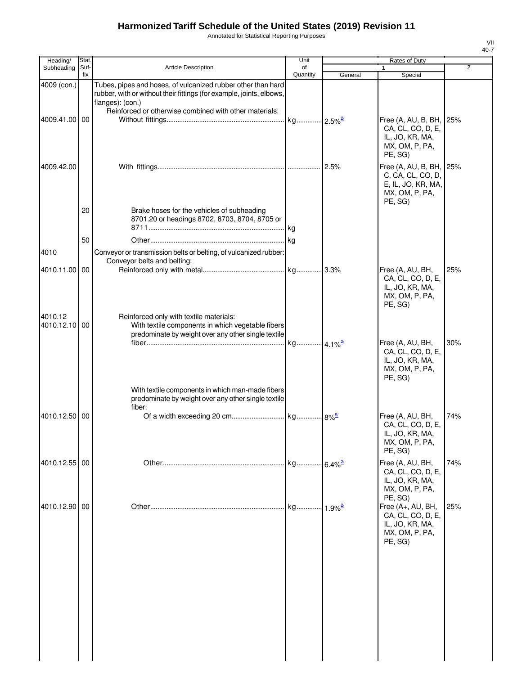Annotated for Statistical Reporting Purposes

| Heading/              | Stat.       |                                                                                                                                                          | Unit           |                        | Rates of Duty                                                                                   |                |
|-----------------------|-------------|----------------------------------------------------------------------------------------------------------------------------------------------------------|----------------|------------------------|-------------------------------------------------------------------------------------------------|----------------|
| Subheading            | Suf-<br>fix | <b>Article Description</b>                                                                                                                               | of<br>Quantity | General                | $\mathbf{1}$<br>Special                                                                         | $\overline{2}$ |
| 4009 (con.)           |             | Tubes, pipes and hoses, of vulcanized rubber other than hard<br>rubber, with or without their fittings (for example, joints, elbows,<br>flanges): (con.) |                |                        |                                                                                                 |                |
| 4009.41.00 00         |             | Reinforced or otherwise combined with other materials:                                                                                                   |                |                        | Free (A, AU, B, BH, 25%<br>CA, CL, CO, D, E,<br>IL, JO, KR, MA,<br>MX, OM, P, PA,<br>PE, SG)    |                |
| 4009.42.00            |             |                                                                                                                                                          |                |                        | Free (A, AU, B, BH, 25%<br>C, CA, CL, CO, D,<br>E, IL, JO, KR, MA,<br>MX, OM, P, PA,<br>PE, SG) |                |
|                       | 20          | Brake hoses for the vehicles of subheading<br>8701.20 or headings 8702, 8703, 8704, 8705 or                                                              |                |                        |                                                                                                 |                |
|                       | 50          |                                                                                                                                                          |                |                        |                                                                                                 |                |
| 4010                  |             | Conveyor or transmission belts or belting, of vulcanized rubber:<br>Conveyor belts and belting:                                                          |                |                        |                                                                                                 |                |
| 4010.11.00            | 00          |                                                                                                                                                          |                |                        | Free (A, AU, BH,<br>CA, CL, CO, D, E,<br>IL, JO, KR, MA,<br>MX, OM, P, PA,<br>PE, SG)           | 25%            |
| 4010.12<br>4010.12.10 | 00          | Reinforced only with textile materials:<br>With textile components in which vegetable fibers<br>predominate by weight over any other single textile      |                |                        |                                                                                                 |                |
|                       |             |                                                                                                                                                          |                |                        | Free (A, AU, BH,<br>CA, CL, CO, D, E,<br>IL, JO, KR, MA,<br>MX, OM, P, PA,<br>PE, SG)           | 30%            |
|                       |             | With textile components in which man-made fibers<br>predominate by weight over any other single textile<br>fiber:                                        |                |                        |                                                                                                 |                |
| 4010.12.50 00         |             |                                                                                                                                                          |                |                        | Free (A, AU, BH,<br>CA, CL, CO, D, E,<br>IL, JO, KR, MA,<br>MX, OM, P, PA,<br>PE, SG)           | 74%            |
| 4010.12.55 00         |             |                                                                                                                                                          | kg             | $-6.4\%$ <sup>2/</sup> | Free (A, AU, BH,<br>CA, CL, CO, D, E,<br>IL, JO, KR, MA,<br>MX, OM, P, PA,<br>PE, SG)           | 74%            |
| 4010.12.90            | 00          |                                                                                                                                                          | . kg           | $1.9\%$ <sup>2/</sup>  | Free (A+, AU, BH,<br>CA, CL, CO, D, E,<br>IL, JO, KR, MA,<br>MX, OM, P, PA,<br>PE, SG)          | 25%            |
|                       |             |                                                                                                                                                          |                |                        |                                                                                                 |                |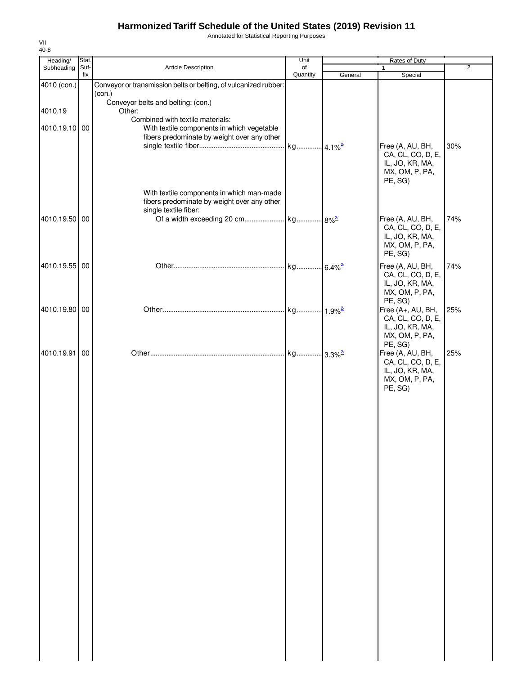Annotated for Statistical Reporting Purposes

| Heading/      | Stat.       |                                                                                                                   | Unit           |         | Rates of Duty                                                                          |                |
|---------------|-------------|-------------------------------------------------------------------------------------------------------------------|----------------|---------|----------------------------------------------------------------------------------------|----------------|
| Subheading    | Suf-<br>fix | Article Description                                                                                               | of<br>Quantity | General | 1<br>Special                                                                           | $\overline{2}$ |
| 4010 (con.)   |             | Conveyor or transmission belts or belting, of vulcanized rubber:<br>(con.)                                        |                |         |                                                                                        |                |
| 4010.19       |             | Conveyor belts and belting: (con.)<br>Other:                                                                      |                |         |                                                                                        |                |
| 4010.19.10 00 |             | Combined with textile materials:<br>With textile components in which vegetable                                    |                |         |                                                                                        |                |
|               |             | fibers predominate by weight over any other                                                                       |                |         | Free (A, AU, BH,                                                                       | 30%            |
|               |             |                                                                                                                   |                |         | CA, CL, CO, D, E,<br>IL, JO, KR, MA,<br>MX, OM, P, PA,<br>PE, SG)                      |                |
|               |             | With textile components in which man-made<br>fibers predominate by weight over any other<br>single textile fiber: |                |         |                                                                                        |                |
| 4010.19.50 00 |             |                                                                                                                   |                |         | Free (A, AU, BH,<br>CA, CL, CO, D, E,<br>IL, JO, KR, MA,<br>MX, OM, P, PA,<br>PE, SG)  | 74%            |
| 4010.19.55 00 |             |                                                                                                                   |                |         | Free (A, AU, BH,<br>CA, CL, CO, D, E,<br>IL, JO, KR, MA,<br>MX, OM, P, PA,<br>PE, SG)  | 74%            |
| 4010.19.80 00 |             |                                                                                                                   |                |         | Free (A+, AU, BH,<br>CA, CL, CO, D, E,<br>IL, JO, KR, MA,<br>MX, OM, P, PA,<br>PE, SG) | 25%            |
| 4010.19.91    | 00          |                                                                                                                   |                |         | Free (A, AU, BH,<br>CA, CL, CO, D, E,<br>IL, JO, KR, MA,<br>MX, OM, P, PA,<br>PE, SG)  | 25%            |
|               |             |                                                                                                                   |                |         |                                                                                        |                |
|               |             |                                                                                                                   |                |         |                                                                                        |                |
|               |             |                                                                                                                   |                |         |                                                                                        |                |
|               |             |                                                                                                                   |                |         |                                                                                        |                |
|               |             |                                                                                                                   |                |         |                                                                                        |                |
|               |             |                                                                                                                   |                |         |                                                                                        |                |
|               |             |                                                                                                                   |                |         |                                                                                        |                |
|               |             |                                                                                                                   |                |         |                                                                                        |                |
|               |             |                                                                                                                   |                |         |                                                                                        |                |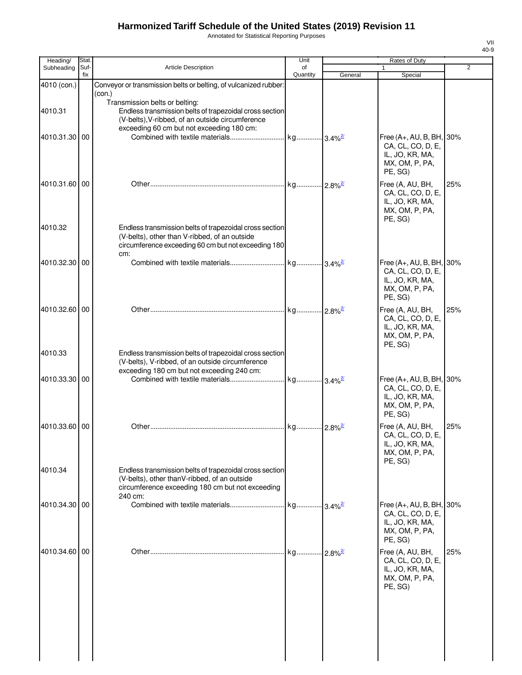Annotated for Statistical Reporting Purposes

| Heading/      | Stat.       |                                                                                                                                                             | Unit           |         | Rates of Duty                                                     |                |
|---------------|-------------|-------------------------------------------------------------------------------------------------------------------------------------------------------------|----------------|---------|-------------------------------------------------------------------|----------------|
| Subheading    | Suf-<br>fix | <b>Article Description</b>                                                                                                                                  | of<br>Quantity | General | 1<br>Special                                                      | $\overline{2}$ |
| 4010 (con.)   |             | Conveyor or transmission belts or belting, of vulcanized rubber:                                                                                            |                |         |                                                                   |                |
|               |             | (con.)                                                                                                                                                      |                |         |                                                                   |                |
| 4010.31       |             | Transmission belts or belting:<br>Endless transmission belts of trapezoidal cross section                                                                   |                |         |                                                                   |                |
|               |             | (V-belts), V-ribbed, of an outside circumference                                                                                                            |                |         |                                                                   |                |
|               |             | exceeding 60 cm but not exceeding 180 cm:                                                                                                                   |                |         |                                                                   |                |
| 4010.31.30 00 |             |                                                                                                                                                             |                |         | Free (A+, AU, B, BH, 30%                                          |                |
|               |             |                                                                                                                                                             |                |         | CA, CL, CO, D, E,<br>IL, JO, KR, MA,<br>MX, OM, P, PA,<br>PE, SG) |                |
| 4010.31.60 00 |             |                                                                                                                                                             |                |         | Free (A, AU, BH,                                                  | 25%            |
|               |             |                                                                                                                                                             |                |         | CA, CL, CO, D, E,<br>IL, JO, KR, MA,<br>MX, OM, P, PA,<br>PE, SG) |                |
| 4010.32       |             | Endless transmission belts of trapezoidal cross section                                                                                                     |                |         |                                                                   |                |
|               |             | (V-belts), other than V-ribbed, of an outside<br>circumference exceeding 60 cm but not exceeding 180                                                        |                |         |                                                                   |                |
|               |             | cm:                                                                                                                                                         |                |         |                                                                   |                |
| 4010.32.30    | 00          |                                                                                                                                                             |                |         | Free $(A+, AU, B, BH, 30%$                                        |                |
|               |             |                                                                                                                                                             |                |         | CA, CL, CO, D, E,<br>IL, JO, KR, MA,<br>MX, OM, P, PA,<br>PE, SG) |                |
| 4010.32.60 00 |             |                                                                                                                                                             |                |         | Free (A, AU, BH,                                                  | 25%            |
|               |             |                                                                                                                                                             |                |         | CA, CL, CO, D, E,<br>IL, JO, KR, MA,<br>MX, OM, P, PA,<br>PE, SG) |                |
| 4010.33       |             | Endless transmission belts of trapezoidal cross section                                                                                                     |                |         |                                                                   |                |
|               |             | (V-belts), V-ribbed, of an outside circumference<br>exceeding 180 cm but not exceeding 240 cm:                                                              |                |         |                                                                   |                |
| 4010.33.30 00 |             |                                                                                                                                                             |                |         | Free (A+, AU, B, BH, 30%                                          |                |
|               |             |                                                                                                                                                             |                |         | CA, CL, CO, D, E,<br>IL, JO, KR, MA,<br>MX, OM, P, PA,<br>PE, SG) |                |
| 4010.33.60 00 |             |                                                                                                                                                             |                |         | Free (A, AU, BH,                                                  | 25%            |
|               |             |                                                                                                                                                             |                |         | CA, CL, CO, D, E,<br>IL, JO, KR, MA,<br>MX, OM, P, PA,<br>PE, SG) |                |
| 4010.34       |             | Endless transmission belts of trapezoidal cross section<br>(V-belts), other thanV-ribbed, of an outside<br>circumference exceeding 180 cm but not exceeding |                |         |                                                                   |                |
| 4010.34.30 00 |             | 240 cm:                                                                                                                                                     |                |         | Free (A+, AU, B, BH, 30%                                          |                |
|               |             |                                                                                                                                                             |                |         | CA, CL, CO, D, E,<br>IL, JO, KR, MA,<br>MX, OM, P, PA,<br>PE, SG) |                |
| 4010.34.60 00 |             |                                                                                                                                                             |                |         | Free (A, AU, BH,                                                  | 25%            |
|               |             |                                                                                                                                                             |                |         | CA, CL, CO, D, E,<br>IL, JO, KR, MA,<br>MX, OM, P, PA,<br>PE, SG) |                |
|               |             |                                                                                                                                                             |                |         |                                                                   |                |
|               |             |                                                                                                                                                             |                |         |                                                                   |                |
|               |             |                                                                                                                                                             |                |         |                                                                   |                |
|               |             |                                                                                                                                                             |                |         |                                                                   |                |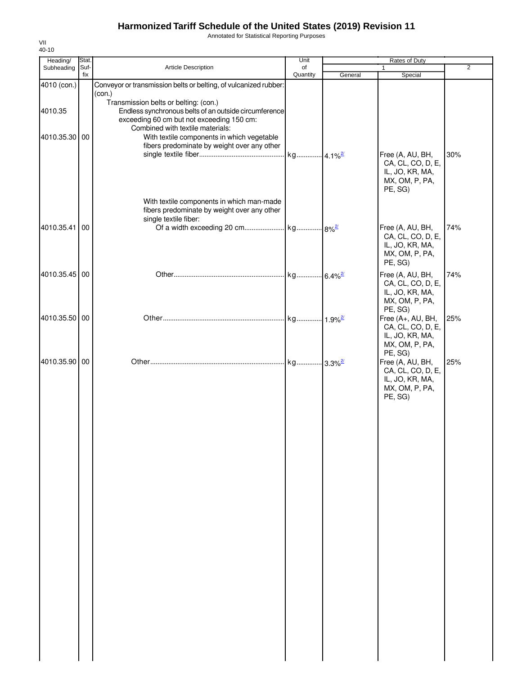Annotated for Statistical Reporting Purposes

| Heading/              | Stat.       |                                                                                                                                                                                                                                                                              | Unit           |         | Rates of Duty                                                                                    |                |
|-----------------------|-------------|------------------------------------------------------------------------------------------------------------------------------------------------------------------------------------------------------------------------------------------------------------------------------|----------------|---------|--------------------------------------------------------------------------------------------------|----------------|
| Subheading            | Suf-<br>fix | Article Description                                                                                                                                                                                                                                                          | of<br>Quantity | General | $\mathbf{1}$<br>Special                                                                          | $\overline{2}$ |
| 4010 (con.)           |             | Conveyor or transmission belts or belting, of vulcanized rubber:<br>(con.)                                                                                                                                                                                                   |                |         |                                                                                                  |                |
| 4010.35<br>4010.35.30 | 00          | Transmission belts or belting: (con.)<br>Endless synchronous belts of an outside circumference<br>exceeding 60 cm but not exceeding 150 cm:<br>Combined with textile materials:<br>With textile components in which vegetable<br>fibers predominate by weight over any other |                |         | Free (A, AU, BH,                                                                                 | 30%            |
|                       |             | With textile components in which man-made                                                                                                                                                                                                                                    |                |         | CA, CL, CO, D, E,<br>IL, JO, KR, MA,<br>MX, OM, P, PA,<br>PE, SG)                                |                |
|                       |             | fibers predominate by weight over any other<br>single textile fiber:                                                                                                                                                                                                         |                |         |                                                                                                  |                |
| 4010.35.41            | 00          |                                                                                                                                                                                                                                                                              |                |         | Free (A, AU, BH,<br>CA, CL, CO, D, E,<br>IL, JO, KR, MA,<br>MX, OM, P, PA,<br>PE, SG)            | 74%            |
| 4010.35.45 00         |             |                                                                                                                                                                                                                                                                              |                |         | Free (A, AU, BH,<br>CA, CL, CO, D, E,<br>IL, JO, KR, MA,<br>MX, OM, P, PA,<br>PE, SG)            | 74%            |
| 4010.35.50 00         |             |                                                                                                                                                                                                                                                                              |                |         | Free (A+, AU, BH,<br>CA, CL, CO, D, E,<br>IL, JO, KR, MA,<br>MX, OM, P, PA,                      | 25%            |
| 4010.35.90 00         |             |                                                                                                                                                                                                                                                                              |                |         | PE, SG)<br>Free (A, AU, BH,<br>CA, CL, CO, D, E,<br>IL, JO, KR, MA,<br>MX, OM, P, PA,<br>PE, SG) | 25%            |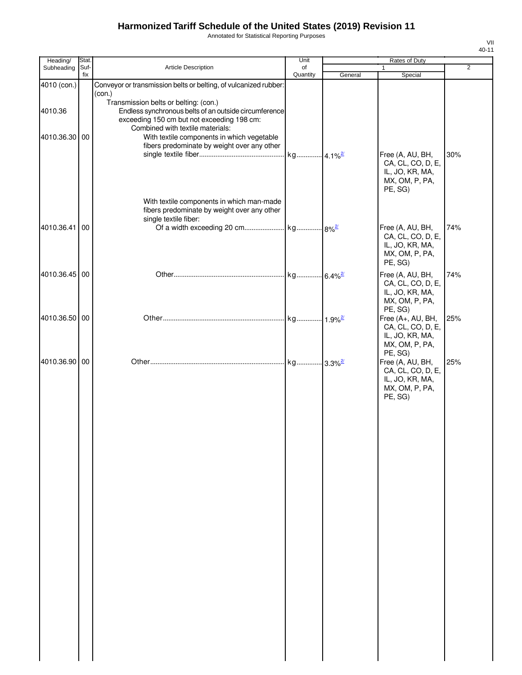Annotated for Statistical Reporting Purposes

| ۰, |  |
|----|--|

| Heading/      | Stat. |                                                                                                                                                                                  | Unit     |         | Rates of Duty                                                                          |                |
|---------------|-------|----------------------------------------------------------------------------------------------------------------------------------------------------------------------------------|----------|---------|----------------------------------------------------------------------------------------|----------------|
| Subheading    | Suf-  | Article Description                                                                                                                                                              | of       |         | 1                                                                                      | $\overline{2}$ |
|               | fix   |                                                                                                                                                                                  | Quantity | General | Special                                                                                |                |
| 4010 (con.)   |       | Conveyor or transmission belts or belting, of vulcanized rubber:<br>(con.)                                                                                                       |          |         |                                                                                        |                |
| 4010.36       |       | Transmission belts or belting: (con.)<br>Endless synchronous belts of an outside circumference<br>exceeding 150 cm but not exceeding 198 cm:<br>Combined with textile materials: |          |         |                                                                                        |                |
| 4010.36.30 00 |       | With textile components in which vegetable<br>fibers predominate by weight over any other                                                                                        |          |         | Free (A, AU, BH,<br>CA, CL, CO, D, E,<br>IL, JO, KR, MA,<br>MX, OM, P, PA,<br>PE, SG)  | 30%            |
|               |       | With textile components in which man-made<br>fibers predominate by weight over any other<br>single textile fiber:                                                                |          |         |                                                                                        |                |
| 4010.36.41 00 |       |                                                                                                                                                                                  |          |         | Free (A, AU, BH,<br>CA, CL, CO, D, E,<br>IL, JO, KR, MA,<br>MX, OM, P, PA,<br>PE, SG)  | 74%            |
| 4010.36.45 00 |       |                                                                                                                                                                                  |          |         | Free (A, AU, BH,<br>CA, CL, CO, D, E,<br>IL, JO, KR, MA,<br>MX, OM, P, PA,<br>PE, SG)  | 74%            |
| 4010.36.50 00 |       |                                                                                                                                                                                  |          |         | Free (A+, AU, BH,<br>CA, CL, CO, D, E,<br>IL, JO, KR, MA,<br>MX, OM, P, PA,<br>PE, SG) | 25%            |
| 4010.36.90 00 |       |                                                                                                                                                                                  |          |         | Free (A, AU, BH,<br>CA, CL, CO, D, E,<br>IL, JO, KR, MA,<br>MX, OM, P, PA,<br>PE, SG)  | 25%            |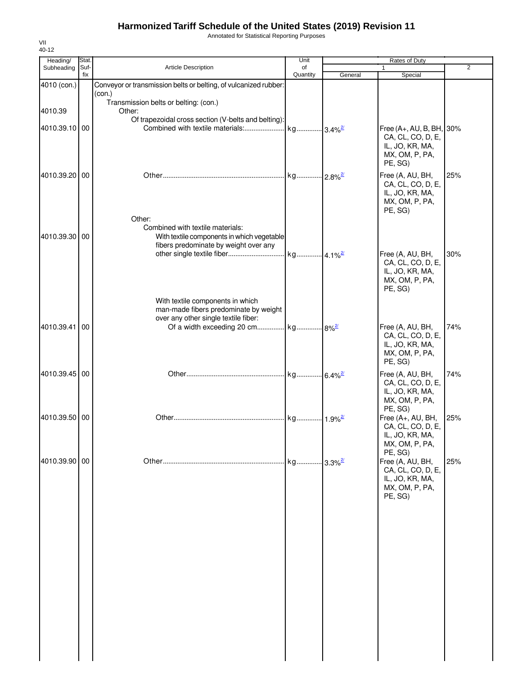Annotated for Statistical Reporting Purposes

| Heading/      | Stat.       |                                                                                       | Unit                  |                        | Rates of Duty                         |                |
|---------------|-------------|---------------------------------------------------------------------------------------|-----------------------|------------------------|---------------------------------------|----------------|
| Subheading    | Suf-<br>fix | Article Description                                                                   | of                    |                        | 1                                     | $\overline{2}$ |
| 4010 (con.)   |             | Conveyor or transmission belts or belting, of vulcanized rubber:                      | Quantity              | General                | Special                               |                |
|               |             | (con.)                                                                                |                       |                        |                                       |                |
|               |             | Transmission belts or belting: (con.)                                                 |                       |                        |                                       |                |
| 4010.39       |             | Other:<br>Of trapezoidal cross section (V-belts and belting):                         |                       |                        |                                       |                |
| 4010.39.10 00 |             | Combined with textile materials:                                                      | kg 3.4% <sup>2/</sup> |                        | Free (A+, AU, B, BH, 30%              |                |
|               |             |                                                                                       |                       |                        | CA, CL, CO, D, E,                     |                |
|               |             |                                                                                       |                       |                        | IL, JO, KR, MA,<br>MX, OM, P, PA,     |                |
|               |             |                                                                                       |                       |                        | PE, SG)                               |                |
| 4010.39.20 00 |             |                                                                                       |                       |                        | Free (A, AU, BH,                      | 25%            |
|               |             |                                                                                       |                       |                        | CA, CL, CO, D, E,<br>IL, JO, KR, MA,  |                |
|               |             |                                                                                       |                       |                        | MX, OM, P, PA,                        |                |
|               |             |                                                                                       |                       |                        | PE, SG)                               |                |
|               |             | Other:<br>Combined with textile materials:                                            |                       |                        |                                       |                |
| 4010.39.30 00 |             | With textile components in which vegetable                                            |                       |                        |                                       |                |
|               |             | fibers predominate by weight over any<br>other single textile fiber                   |                       |                        |                                       |                |
|               |             |                                                                                       | kg 4.1% <sup>2/</sup> |                        | Free (A, AU, BH,<br>CA, CL, CO, D, E, | 30%            |
|               |             |                                                                                       |                       |                        | IL, JO, KR, MA,                       |                |
|               |             |                                                                                       |                       |                        | MX, OM, P, PA,<br>PE, SG)             |                |
|               |             | With textile components in which                                                      |                       |                        |                                       |                |
|               |             | man-made fibers predominate by weight                                                 |                       |                        |                                       |                |
| 4010.39.41    | 00          | over any other single textile fiber:<br>Of a width exceeding 20 cm kg 8% <sup>2</sup> |                       |                        | Free (A, AU, BH,                      | 74%            |
|               |             |                                                                                       |                       |                        | CA, CL, CO, D, E,                     |                |
|               |             |                                                                                       |                       |                        | IL, JO, KR, MA,                       |                |
|               |             |                                                                                       |                       |                        | MX, OM, P, PA,<br>PE, SG)             |                |
| 4010.39.45 00 |             |                                                                                       |                       |                        | Free (A, AU, BH,                      | 74%            |
|               |             |                                                                                       |                       |                        | CA, CL, CO, D, E,                     |                |
|               |             |                                                                                       |                       |                        | IL, JO, KR, MA,<br>MX, OM, P, PA,     |                |
|               |             |                                                                                       |                       |                        | PE, SG)                               |                |
| 4010.39.50 00 |             |                                                                                       | kg                    | $1.9\%$ <sup>2/</sup>  | Free (A+, AU, BH,                     | 25%            |
|               |             |                                                                                       |                       |                        | CA, CL, CO, D, E,<br>IL, JO, KR, MA,  |                |
|               |             |                                                                                       |                       |                        | MX, OM, P, PA,                        |                |
| 4010.39.90 00 |             |                                                                                       | kg                    | $-3.3\%$ <sup>2/</sup> | PE, SG)<br>Free (A, AU, BH,           | 25%            |
|               |             |                                                                                       |                       |                        | CA, CL, CO, D, E,                     |                |
|               |             |                                                                                       |                       |                        | IL, JO, KR, MA,                       |                |
|               |             |                                                                                       |                       |                        | MX, OM, P, PA,<br>PE, SG)             |                |
|               |             |                                                                                       |                       |                        |                                       |                |
|               |             |                                                                                       |                       |                        |                                       |                |
|               |             |                                                                                       |                       |                        |                                       |                |
|               |             |                                                                                       |                       |                        |                                       |                |
|               |             |                                                                                       |                       |                        |                                       |                |
|               |             |                                                                                       |                       |                        |                                       |                |
|               |             |                                                                                       |                       |                        |                                       |                |
|               |             |                                                                                       |                       |                        |                                       |                |
|               |             |                                                                                       |                       |                        |                                       |                |
|               |             |                                                                                       |                       |                        |                                       |                |
|               |             |                                                                                       |                       |                        |                                       |                |
|               |             |                                                                                       |                       |                        |                                       |                |
|               |             |                                                                                       |                       |                        |                                       |                |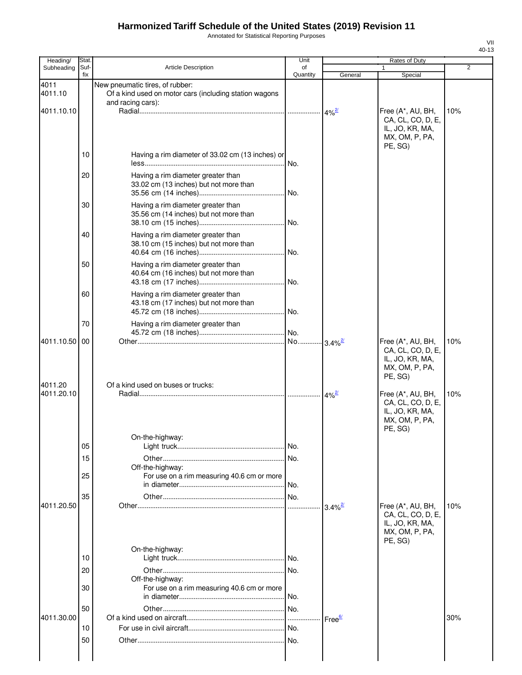Annotated for Statistical Reporting Purposes

| Heading/              | Stat.       |                                                                                                                | Unit           |                       | Rates of Duty                                                                          |                |
|-----------------------|-------------|----------------------------------------------------------------------------------------------------------------|----------------|-----------------------|----------------------------------------------------------------------------------------|----------------|
| Subheading            | Suf-<br>fix | <b>Article Description</b>                                                                                     | of<br>Quantity | General               | 1<br>Special                                                                           | $\overline{2}$ |
| 4011<br>4011.10       |             | New pneumatic tires, of rubber:<br>Of a kind used on motor cars (including station wagons<br>and racing cars): |                |                       |                                                                                        |                |
| 4011.10.10            |             |                                                                                                                |                |                       | Free (A*, AU, BH,<br>CA, CL, CO, D, E,<br>IL, JO, KR, MA,<br>MX, OM, P, PA,<br>PE. SG) | 10%            |
|                       | 10          | Having a rim diameter of 33.02 cm (13 inches) or                                                               | INo.           |                       |                                                                                        |                |
|                       | 20          | Having a rim diameter greater than<br>33.02 cm (13 inches) but not more than                                   |                |                       |                                                                                        |                |
|                       | 30          | Having a rim diameter greater than<br>35.56 cm (14 inches) but not more than                                   |                |                       |                                                                                        |                |
|                       | 40          | Having a rim diameter greater than<br>38.10 cm (15 inches) but not more than                                   |                |                       |                                                                                        |                |
|                       | 50          | Having a rim diameter greater than<br>40.64 cm (16 inches) but not more than                                   |                |                       |                                                                                        |                |
|                       | 60          | Having a rim diameter greater than<br>43.18 cm (17 inches) but not more than                                   |                |                       |                                                                                        |                |
|                       | 70          | Having a rim diameter greater than                                                                             |                |                       |                                                                                        |                |
| 4011.10.50<br>4011.20 | 00          | Of a kind used on buses or trucks:                                                                             |                |                       | Free (A*, AU, BH,<br>CA, CL, CO, D, E,<br>IL, JO, KR, MA,<br>MX, OM, P, PA,<br>PE, SG) | 10%            |
| 4011.20.10            |             |                                                                                                                |                |                       | Free (A*, AU, BH,<br>CA, CL, CO, D, E,<br>IL, JO, KR, MA,<br>MX, OM, P, PA,<br>PE, SG) | 10%            |
|                       | 05          | On-the-highway:                                                                                                | No.            |                       |                                                                                        |                |
|                       | 15          | Off-the-highway:                                                                                               |                |                       |                                                                                        |                |
|                       | 25          | For use on a rim measuring 40.6 cm or more                                                                     | No.            |                       |                                                                                        |                |
| 4011.20.50            | 35          |                                                                                                                |                | $3.4\%$ <sup>2/</sup> | Free (A*, AU, BH,<br>CA, CL, CO, D, E,<br>IL, JO, KR, MA,<br>MX, OM, P, PA,<br>PE, SG) | 10%            |
|                       | 10          | On-the-highway:                                                                                                |                |                       |                                                                                        |                |
|                       | 20          |                                                                                                                |                |                       |                                                                                        |                |
|                       | 30          | Off-the-highway:<br>For use on a rim measuring 40.6 cm or more                                                 | No.            |                       |                                                                                        |                |
| 4011.30.00            | 50          |                                                                                                                | .              | Free <sup>6/</sup>    |                                                                                        | 30%            |
|                       | 10<br>50    |                                                                                                                | No.<br>INo.    |                       |                                                                                        |                |
|                       |             |                                                                                                                |                |                       |                                                                                        |                |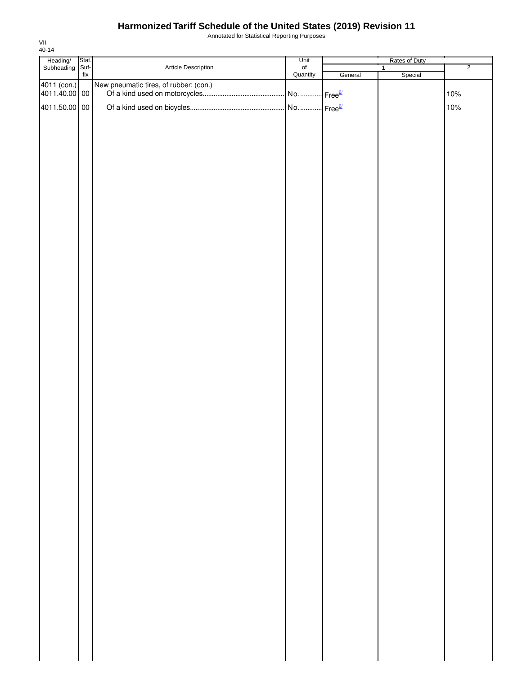Annotated for Statistical Reporting Purposes

| Heading/ Stat.<br>Subheading Suf- |                          |                                        | Unit                   |         | Rates of Duty |                |
|-----------------------------------|--------------------------|----------------------------------------|------------------------|---------|---------------|----------------|
|                                   |                          | Article Description                    | of<br>Quantity         |         | $\mathbf{1}$  | $\overline{2}$ |
|                                   | $\operatorname{\sf fix}$ |                                        |                        | General | Special       |                |
| 4011 (con.)                       |                          | New pneumatic tires, of rubber: (con.) |                        |         |               |                |
| 4011.40.00 00                     |                          |                                        | No  Free <sup>2/</sup> |         |               | 10%            |
|                                   |                          |                                        |                        |         |               |                |
| 4011.50.00 00                     |                          |                                        |                        |         |               | 10%            |
|                                   |                          |                                        |                        |         |               |                |
|                                   |                          |                                        |                        |         |               |                |
|                                   |                          |                                        |                        |         |               |                |
|                                   |                          |                                        |                        |         |               |                |
|                                   |                          |                                        |                        |         |               |                |
|                                   |                          |                                        |                        |         |               |                |
|                                   |                          |                                        |                        |         |               |                |
|                                   |                          |                                        |                        |         |               |                |
|                                   |                          |                                        |                        |         |               |                |
|                                   |                          |                                        |                        |         |               |                |
|                                   |                          |                                        |                        |         |               |                |
|                                   |                          |                                        |                        |         |               |                |
|                                   |                          |                                        |                        |         |               |                |
|                                   |                          |                                        |                        |         |               |                |
|                                   |                          |                                        |                        |         |               |                |
|                                   |                          |                                        |                        |         |               |                |
|                                   |                          |                                        |                        |         |               |                |
|                                   |                          |                                        |                        |         |               |                |
|                                   |                          |                                        |                        |         |               |                |
|                                   |                          |                                        |                        |         |               |                |
|                                   |                          |                                        |                        |         |               |                |
|                                   |                          |                                        |                        |         |               |                |
|                                   |                          |                                        |                        |         |               |                |
|                                   |                          |                                        |                        |         |               |                |
|                                   |                          |                                        |                        |         |               |                |
|                                   |                          |                                        |                        |         |               |                |
|                                   |                          |                                        |                        |         |               |                |
|                                   |                          |                                        |                        |         |               |                |
|                                   |                          |                                        |                        |         |               |                |
|                                   |                          |                                        |                        |         |               |                |
|                                   |                          |                                        |                        |         |               |                |
|                                   |                          |                                        |                        |         |               |                |
|                                   |                          |                                        |                        |         |               |                |
|                                   |                          |                                        |                        |         |               |                |
|                                   |                          |                                        |                        |         |               |                |
|                                   |                          |                                        |                        |         |               |                |
|                                   |                          |                                        |                        |         |               |                |
|                                   |                          |                                        |                        |         |               |                |
|                                   |                          |                                        |                        |         |               |                |
|                                   |                          |                                        |                        |         |               |                |
|                                   |                          |                                        |                        |         |               |                |
|                                   |                          |                                        |                        |         |               |                |
|                                   |                          |                                        |                        |         |               |                |
|                                   |                          |                                        |                        |         |               |                |
|                                   |                          |                                        |                        |         |               |                |
|                                   |                          |                                        |                        |         |               |                |
|                                   |                          |                                        |                        |         |               |                |
|                                   |                          |                                        |                        |         |               |                |
|                                   |                          |                                        |                        |         |               |                |
|                                   |                          |                                        |                        |         |               |                |
|                                   |                          |                                        |                        |         |               |                |
|                                   |                          |                                        |                        |         |               |                |
|                                   |                          |                                        |                        |         |               |                |
|                                   |                          |                                        |                        |         |               |                |
|                                   |                          |                                        |                        |         |               |                |
|                                   |                          |                                        |                        |         |               |                |
|                                   |                          |                                        |                        |         |               |                |
|                                   |                          |                                        |                        |         |               |                |
|                                   |                          |                                        |                        |         |               |                |
|                                   |                          |                                        |                        |         |               |                |
|                                   |                          |                                        |                        |         |               |                |
|                                   |                          |                                        |                        |         |               |                |
|                                   |                          |                                        |                        |         |               |                |
|                                   |                          |                                        |                        |         |               |                |
|                                   |                          |                                        |                        |         |               |                |
|                                   |                          |                                        |                        |         |               |                |
|                                   |                          |                                        |                        |         |               |                |
|                                   |                          |                                        |                        |         |               |                |
|                                   |                          |                                        |                        |         |               |                |
|                                   |                          |                                        |                        |         |               |                |
|                                   |                          |                                        |                        |         |               |                |
|                                   |                          |                                        |                        |         |               |                |
|                                   |                          |                                        |                        |         |               |                |
|                                   |                          |                                        |                        |         |               |                |
|                                   |                          |                                        |                        |         |               |                |
|                                   |                          |                                        |                        |         |               |                |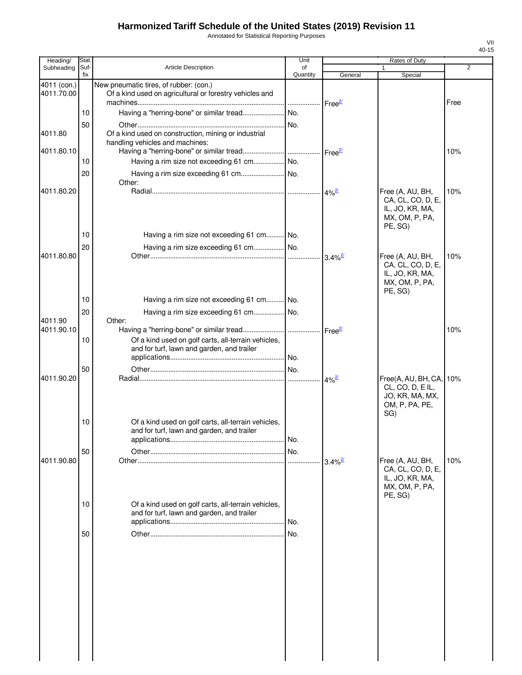Annotated for Statistical Reporting Purposes

| Heading/                  | Stat.       |                                                                                                   | Unit           |                       | Rates of Duty                                                                      |                |
|---------------------------|-------------|---------------------------------------------------------------------------------------------------|----------------|-----------------------|------------------------------------------------------------------------------------|----------------|
| Subheading                | Suf-<br>fix | <b>Article Description</b>                                                                        | of<br>Quantity | General               | $\mathbf{1}$<br>Special                                                            | $\overline{2}$ |
| 4011 (con.)<br>4011.70.00 |             | New pneumatic tires, of rubber: (con.)<br>Of a kind used on agricultural or forestry vehicles and |                |                       |                                                                                    |                |
|                           |             |                                                                                                   |                |                       |                                                                                    | Free           |
|                           | 10          |                                                                                                   |                |                       |                                                                                    |                |
|                           | 50          |                                                                                                   |                |                       |                                                                                    |                |
| 4011.80                   |             | Of a kind used on construction, mining or industrial<br>handling vehicles and machines:           |                |                       |                                                                                    |                |
| 4011.80.10                |             |                                                                                                   |                |                       |                                                                                    | 10%            |
|                           | 10          |                                                                                                   |                |                       |                                                                                    |                |
|                           | 20          |                                                                                                   |                |                       |                                                                                    |                |
| 4011.80.20                |             | Other:                                                                                            |                |                       | Free (A, AU, BH,                                                                   | 10%            |
|                           |             |                                                                                                   |                |                       | CA, CL, CO, D, E,<br>IL, JO, KR, MA,<br>MX, OM, P, PA,<br>PE, SG)                  |                |
|                           | 10          | Having a rim size not exceeding 61 cm No.                                                         |                |                       |                                                                                    |                |
| 4011.80.80                | 20          | Having a rim size exceeding 61 cm No.                                                             |                |                       | Free (A, AU, BH,                                                                   | 10%            |
|                           |             |                                                                                                   |                |                       | CA, CL, CO, D, E,<br>IL, JO, KR, MA,<br>MX, OM, P, PA,<br>PE, SG)                  |                |
|                           | 10          | Having a rim size not exceeding 61 cm No.                                                         |                |                       |                                                                                    |                |
| 4011.90                   | 20          | Having a rim size exceeding 61 cm No.<br>Other:                                                   |                |                       |                                                                                    |                |
| 4011.90.10                |             |                                                                                                   |                |                       |                                                                                    | 10%            |
|                           | 10          | Of a kind used on golf carts, all-terrain vehicles,<br>and for turf, lawn and garden, and trailer |                |                       |                                                                                    |                |
|                           | 50          |                                                                                                   |                |                       |                                                                                    |                |
| 4011.90.20                |             |                                                                                                   |                |                       | Free(A, AU, BH, CA,<br>CL, CO, D, EIL,<br>JO, KR, MA, MX,<br>OM, P, PA, PE,<br>SG) | 10%            |
|                           | 10          | Of a kind used on golf carts, all-terrain vehicles,<br>and for turf, lawn and garden, and trailer |                |                       |                                                                                    |                |
|                           | 50          |                                                                                                   |                |                       |                                                                                    |                |
| 4011.90.80                |             |                                                                                                   |                | $3.4\%$ <sup>2/</sup> | Free (A, AU, BH,                                                                   | 10%            |
|                           |             |                                                                                                   |                |                       | CA, CL, CO, D, E,<br>IL, JO, KR, MA,<br>MX, OM, P, PA,<br>PE, SG)                  |                |
|                           | 10          | Of a kind used on golf carts, all-terrain vehicles,<br>and for turf, lawn and garden, and trailer |                |                       |                                                                                    |                |
|                           | 50          |                                                                                                   |                |                       |                                                                                    |                |
|                           |             |                                                                                                   |                |                       |                                                                                    |                |
|                           |             |                                                                                                   |                |                       |                                                                                    |                |
|                           |             |                                                                                                   |                |                       |                                                                                    |                |
|                           |             |                                                                                                   |                |                       |                                                                                    |                |
|                           |             |                                                                                                   |                |                       |                                                                                    |                |
|                           |             |                                                                                                   |                |                       |                                                                                    |                |
|                           |             |                                                                                                   |                |                       |                                                                                    |                |
|                           |             |                                                                                                   |                |                       |                                                                                    |                |
|                           |             |                                                                                                   |                |                       |                                                                                    |                |
|                           |             |                                                                                                   |                |                       |                                                                                    |                |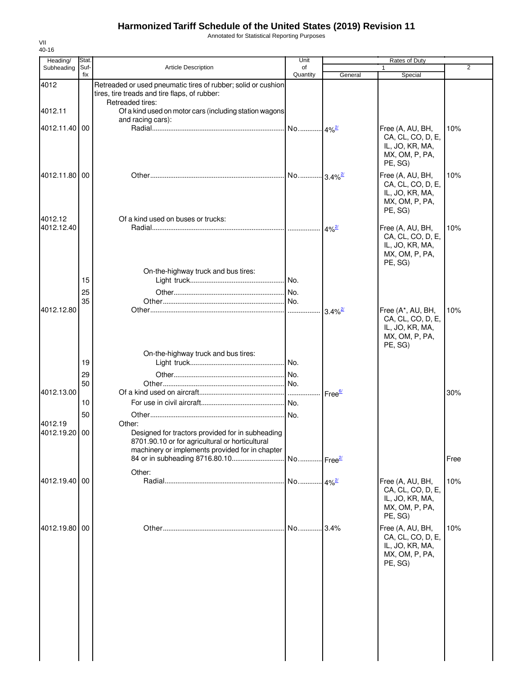Annotated for Statistical Reporting Purposes

| Heading/                 | Stat.          |                                                                                                                                                                  | Unit                  |                       | Rates of Duty                                                                          |      |
|--------------------------|----------------|------------------------------------------------------------------------------------------------------------------------------------------------------------------|-----------------------|-----------------------|----------------------------------------------------------------------------------------|------|
| Subheading               | Suf-<br>fix    | Article Description                                                                                                                                              | of<br>Quantity        | General               | Special                                                                                | 2    |
| 4012                     |                | Retreaded or used pneumatic tires of rubber; solid or cushion<br>tires, tire treads and tire flaps, of rubber:                                                   |                       |                       |                                                                                        |      |
| 4012.11                  |                | Retreaded tires:<br>Of a kind used on motor cars (including station wagons<br>and racing cars):                                                                  |                       |                       |                                                                                        |      |
| 4012.11.40 00            |                |                                                                                                                                                                  |                       |                       | Free (A, AU, BH,<br>CA, CL, CO, D, E,<br>IL, JO, KR, MA,<br>MX, OM, P, PA,<br>PE, SG)  | 10%  |
| 4012.11.80 00            |                |                                                                                                                                                                  |                       |                       | Free (A, AU, BH,<br>CA, CL, CO, D, E,<br>IL, JO, KR, MA,<br>MX, OM, P, PA,<br>PE, SG)  | 10%  |
| 4012.12<br>4012.12.40    |                | Of a kind used on buses or trucks:                                                                                                                               |                       | $4\%$ <sup>2/</sup>   | Free (A, AU, BH,<br>CA, CL, CO, D, E,<br>IL, JO, KR, MA,<br>MX, OM, P, PA,<br>PE, SG)  | 10%  |
|                          | 15<br>25<br>35 | On-the-highway truck and bus tires:                                                                                                                              |                       |                       |                                                                                        |      |
| 4012.12.80               |                |                                                                                                                                                                  |                       | $3.4\%$ <sup>2/</sup> | Free (A*, AU, BH,<br>CA, CL, CO, D, E,<br>IL, JO, KR, MA,<br>MX, OM, P, PA,<br>PE, SG) | 10%  |
|                          | 19             | On-the-highway truck and bus tires:                                                                                                                              |                       |                       |                                                                                        |      |
| 4012.13.00               | 29<br>50       |                                                                                                                                                                  |                       | Free <sup>6/</sup>    |                                                                                        | 30%  |
|                          | 10<br>50       |                                                                                                                                                                  |                       |                       |                                                                                        |      |
| 4012.19<br>4012.19.20 00 |                | Other:<br>Designed for tractors provided for in subheading<br>8701.90.10 or for agricultural or horticultural<br>machinery or implements provided for in chapter |                       |                       |                                                                                        |      |
|                          |                | Other:                                                                                                                                                           | No Free <sup>2/</sup> |                       |                                                                                        | Free |
| 4012.19.40 00            |                |                                                                                                                                                                  |                       |                       | Free (A, AU, BH,<br>CA, CL, CO, D, E,<br>IL, JO, KR, MA,<br>MX, OM, P, PA,<br>PE, SG)  | 10%  |
| 4012.19.80 00            |                |                                                                                                                                                                  | No                    | .3.4%                 | Free (A, AU, BH,<br>CA, CL, CO, D, E,<br>IL, JO, KR, MA,<br>MX, OM, P, PA,<br>PE, SG)  | 10%  |
|                          |                |                                                                                                                                                                  |                       |                       |                                                                                        |      |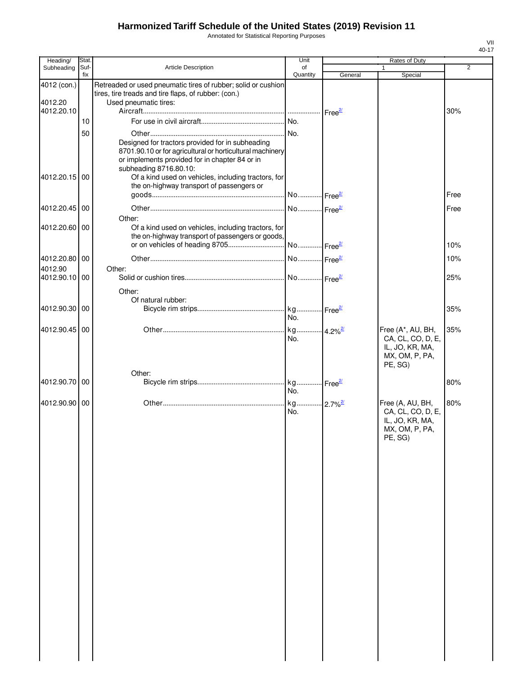Annotated for Statistical Reporting Purposes

| Heading/                             | Stat.       |                                                                                                                                                                                           | Unit                  |                                  | Rates of Duty                                                                          |      |
|--------------------------------------|-------------|-------------------------------------------------------------------------------------------------------------------------------------------------------------------------------------------|-----------------------|----------------------------------|----------------------------------------------------------------------------------------|------|
| Subheading                           | Suf-<br>fix | <b>Article Description</b>                                                                                                                                                                | of<br>Quantity        | General                          | 1<br>Special                                                                           | 2    |
| 4012 (con.)<br>4012.20<br>4012.20.10 |             | Retreaded or used pneumatic tires of rubber; solid or cushion<br>tires, tire treads and tire flaps, of rubber: (con.)<br>Used pneumatic tires:                                            |                       | $\mathsf{Free}^{\mathsf{2\ell}}$ |                                                                                        | 30%  |
|                                      | 10          |                                                                                                                                                                                           |                       |                                  |                                                                                        |      |
|                                      | 50          | Designed for tractors provided for in subheading<br>8701.90.10 or for agricultural or horticultural machinery<br>or implements provided for in chapter 84 or in<br>subheading 8716.80.10: |                       |                                  |                                                                                        |      |
| 4012.20.15 00                        |             | Of a kind used on vehicles, including tractors, for<br>the on-highway transport of passengers or                                                                                          |                       |                                  |                                                                                        | Free |
| 4012.20.45 00                        |             |                                                                                                                                                                                           | No Free <sup>2/</sup> |                                  |                                                                                        | Free |
| 4012.20.60                           | 00          | Other:<br>Of a kind used on vehicles, including tractors, for<br>the on-highway transport of passengers or goods,                                                                         |                       |                                  |                                                                                        |      |
|                                      |             |                                                                                                                                                                                           |                       |                                  |                                                                                        | 10%  |
| 4012.20.80 00                        |             |                                                                                                                                                                                           |                       |                                  |                                                                                        | 10%  |
| 4012.90                              |             | Other:                                                                                                                                                                                    |                       |                                  |                                                                                        |      |
| 4012.90.10                           | 00          |                                                                                                                                                                                           |                       |                                  |                                                                                        | 25%  |
| 4012.90.30                           | 00          | Other:<br>Of natural rubber:                                                                                                                                                              |                       |                                  |                                                                                        | 35%  |
|                                      |             |                                                                                                                                                                                           | No.                   |                                  |                                                                                        |      |
| 4012.90.45                           | 00          |                                                                                                                                                                                           | No.                   |                                  | Free (A*, AU, BH,<br>CA, CL, CO, D, E,<br>IL, JO, KR, MA,<br>MX, OM, P, PA,<br>PE, SG) | 35%  |
| 4012.90.70                           | 00          | Other:                                                                                                                                                                                    | No.                   |                                  |                                                                                        | 80%  |
|                                      |             |                                                                                                                                                                                           |                       |                                  |                                                                                        |      |
| 4012.90.90 00                        |             |                                                                                                                                                                                           | No.                   |                                  | Free (A, AU, BH,<br>CA, CL, CO, D, E,<br>IL, JO, KR, MA,<br>MX, OM, P, PA,<br>PE, SG)  | 80%  |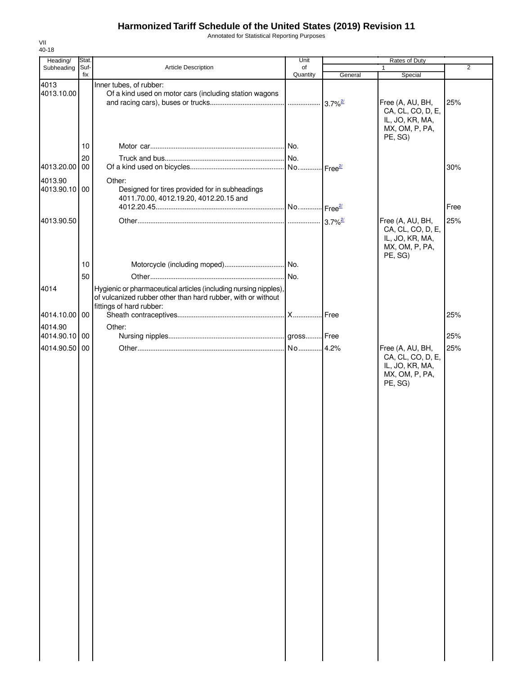Annotated for Statistical Reporting Purposes

| Heading/                 | Stat. |                                                                                                                                                              | Unit     |         | Rates of Duty                                                                         |                |
|--------------------------|-------|--------------------------------------------------------------------------------------------------------------------------------------------------------------|----------|---------|---------------------------------------------------------------------------------------|----------------|
| Subheading               | Suf-  | <b>Article Description</b>                                                                                                                                   | of       |         | $\mathbf{1}$                                                                          | $\overline{2}$ |
|                          | fix   |                                                                                                                                                              | Quantity | General | Special                                                                               |                |
| 4013<br>4013.10.00       |       | Inner tubes, of rubber:<br>Of a kind used on motor cars (including station wagons                                                                            |          |         | Free (A, AU, BH,<br>CA, CL, CO, D, E,<br>IL, JO, KR, MA,<br>MX, OM, P, PA,            | 25%            |
|                          |       |                                                                                                                                                              |          |         | PE, SG)                                                                               |                |
|                          | 10    |                                                                                                                                                              |          |         |                                                                                       |                |
|                          | 20    |                                                                                                                                                              |          |         |                                                                                       |                |
| 4013.20.00 00            |       |                                                                                                                                                              |          |         |                                                                                       | 30%            |
| 4013.90<br>4013.90.10 00 |       | Other:<br>Designed for tires provided for in subheadings<br>4011.70.00, 4012.19.20, 4012.20.15 and                                                           |          |         |                                                                                       | Free           |
|                          |       |                                                                                                                                                              |          |         |                                                                                       |                |
| 4013.90.50               |       |                                                                                                                                                              |          |         | Free (A, AU, BH,<br>CA, CL, CO, D, E,<br>IL, JO, KR, MA,<br>MX, OM, P, PA,<br>PE, SG) | 25%            |
|                          | 10    |                                                                                                                                                              |          |         |                                                                                       |                |
|                          | 50    |                                                                                                                                                              |          |         |                                                                                       |                |
| 4014                     |       | Hygienic or pharmaceutical articles (including nursing nipples),<br>of vulcanized rubber other than hard rubber, with or without<br>fittings of hard rubber: |          |         |                                                                                       |                |
| 4014.10.00 00            |       |                                                                                                                                                              |          |         |                                                                                       | 25%            |
| 4014.90                  |       | Other:                                                                                                                                                       |          |         |                                                                                       |                |
| 4014.90.10 00            |       |                                                                                                                                                              |          |         |                                                                                       | 25%            |
| 4014.90.50 00            |       |                                                                                                                                                              |          |         | Free (A, AU, BH,<br>CA, CL, CO, D, E,<br>IL, JO, KR, MA,<br>MX, OM, P, PA,<br>PE, SG) | 25%            |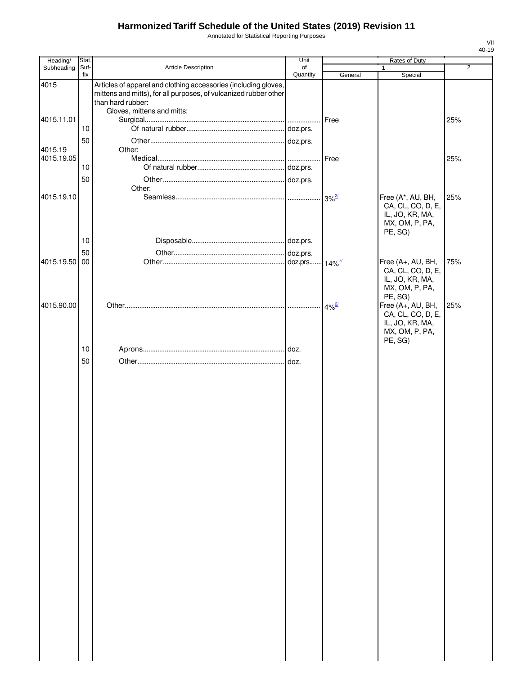Annotated for Statistical Reporting Purposes

| Heading/              | Stat.       |                                                                                                                                                                                        | Unit           |            | Rates of Duty                                                                          |     |
|-----------------------|-------------|----------------------------------------------------------------------------------------------------------------------------------------------------------------------------------------|----------------|------------|----------------------------------------------------------------------------------------|-----|
| Subheading            | Suf-<br>fix | Article Description                                                                                                                                                                    | of<br>Quantity | General    | 1<br>Special                                                                           | 2   |
| 4015                  |             | Articles of apparel and clothing accessories (including gloves,<br>mittens and mitts), for all purposes, of vulcanized rubber other<br>than hard rubber:<br>Gloves, mittens and mitts: |                |            |                                                                                        |     |
| 4015.11.01            |             |                                                                                                                                                                                        |                | Free       |                                                                                        | 25% |
|                       | 10          |                                                                                                                                                                                        |                |            |                                                                                        |     |
| 4015.19<br>4015.19.05 | 50          | Other:                                                                                                                                                                                 | doz.prs.       | Free       |                                                                                        | 25% |
|                       | 10<br>50    |                                                                                                                                                                                        |                |            |                                                                                        |     |
|                       |             | Other:                                                                                                                                                                                 |                |            |                                                                                        |     |
| 4015.19.10            |             |                                                                                                                                                                                        |                | $3%^{2/2}$ | Free (A*, AU, BH,<br>CA, CL, CO, D, E,<br>IL, JO, KR, MA,<br>MX, OM, P, PA,<br>PE, SG) | 25% |
|                       | 10          |                                                                                                                                                                                        |                |            |                                                                                        |     |
| 4015.19.50            | 50<br>00    |                                                                                                                                                                                        |                |            | Free (A+, AU, BH,                                                                      | 75% |
|                       |             |                                                                                                                                                                                        |                |            | CA, CL, CO, D, E,<br>IL, JO, KR, MA,<br>MX, OM, P, PA,<br>PE, SG)                      |     |
| 4015.90.00            |             |                                                                                                                                                                                        |                | $4\%^2$    | Free (A+, AU, BH,<br>CA, CL, CO, D, E,<br>IL, JO, KR, MA,<br>MX, OM, P, PA,<br>PE, SG) | 25% |
|                       | 10          |                                                                                                                                                                                        |                |            |                                                                                        |     |
|                       | 50          |                                                                                                                                                                                        |                |            |                                                                                        |     |
|                       |             |                                                                                                                                                                                        |                |            |                                                                                        |     |
|                       |             |                                                                                                                                                                                        |                |            |                                                                                        |     |
|                       |             |                                                                                                                                                                                        |                |            |                                                                                        |     |
|                       |             |                                                                                                                                                                                        |                |            |                                                                                        |     |
|                       |             |                                                                                                                                                                                        |                |            |                                                                                        |     |
|                       |             |                                                                                                                                                                                        |                |            |                                                                                        |     |
|                       |             |                                                                                                                                                                                        |                |            |                                                                                        |     |
|                       |             |                                                                                                                                                                                        |                |            |                                                                                        |     |
|                       |             |                                                                                                                                                                                        |                |            |                                                                                        |     |
|                       |             |                                                                                                                                                                                        |                |            |                                                                                        |     |
|                       |             |                                                                                                                                                                                        |                |            |                                                                                        |     |
|                       |             |                                                                                                                                                                                        |                |            |                                                                                        |     |
|                       |             |                                                                                                                                                                                        |                |            |                                                                                        |     |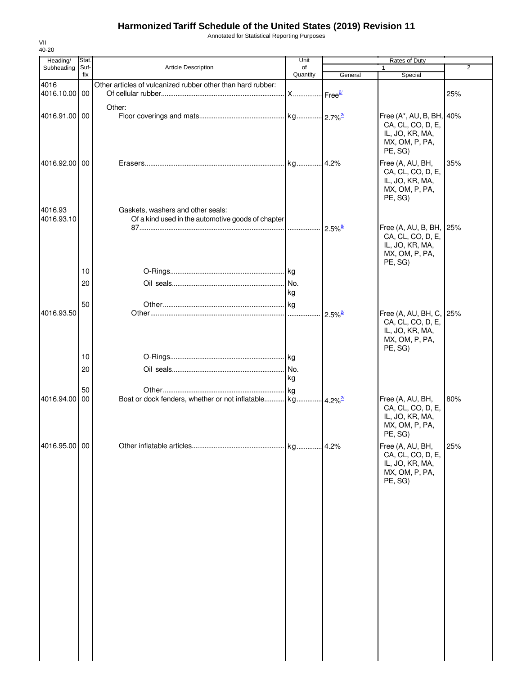Annotated for Statistical Reporting Purposes

| 40-20<br>Heading/ | Stat.       |                                                             | Unit                 |                       | Rates of Duty                                |                |
|-------------------|-------------|-------------------------------------------------------------|----------------------|-----------------------|----------------------------------------------|----------------|
| Subheading        | Suf-<br>fix | <b>Article Description</b>                                  | of<br>Quantity       | General               | Special                                      | $\overline{2}$ |
| 4016              |             | Other articles of vulcanized rubber other than hard rubber: |                      |                       |                                              |                |
| 4016.10.00 00     |             |                                                             | X Free <sup>2/</sup> |                       |                                              | 25%            |
|                   |             | Other:                                                      |                      |                       |                                              |                |
| 4016.91.00 00     |             |                                                             |                      |                       | Free (A*, AU, B, BH, 40%                     |                |
|                   |             |                                                             |                      |                       | CA, CL, CO, D, E,<br>IL, JO, KR, MA,         |                |
|                   |             |                                                             |                      |                       | MX, OM, P, PA,                               |                |
|                   |             |                                                             |                      |                       | PE, SG)                                      |                |
| 4016.92.00 00     |             |                                                             |                      |                       | Free (A, AU, BH,                             | 35%            |
|                   |             |                                                             |                      |                       | CA, CL, CO, D, E,<br>IL, JO, KR, MA,         |                |
|                   |             |                                                             |                      |                       | MX, OM, P, PA,                               |                |
|                   |             |                                                             |                      |                       | PE, SG)                                      |                |
| 4016.93           |             | Gaskets, washers and other seals:                           |                      |                       |                                              |                |
| 4016.93.10        |             | Of a kind used in the automotive goods of chapter           |                      |                       |                                              |                |
|                   |             |                                                             | .                    | $2.5\%$ <sup>8/</sup> | Free (A, AU, B, BH, 25%<br>CA, CL, CO, D, E, |                |
|                   |             |                                                             |                      |                       | IL, JO, KR, MA,                              |                |
|                   |             |                                                             |                      |                       | MX, OM, P, PA,                               |                |
|                   | 10          |                                                             |                      |                       | PE, SG)                                      |                |
|                   | 20          |                                                             | No.                  |                       |                                              |                |
|                   |             |                                                             | kg                   |                       |                                              |                |
|                   | 50          |                                                             |                      |                       |                                              |                |
| 4016.93.50        |             |                                                             |                      | $2.5\%$ <sup>2/</sup> | Free (A, AU, BH, C, 25%                      |                |
|                   |             |                                                             |                      |                       | CA, CL, CO, D, E,<br>IL, JO, KR, MA,         |                |
|                   |             |                                                             |                      |                       | MX, OM, P, PA,                               |                |
|                   |             |                                                             |                      |                       | PE, SG)                                      |                |
|                   | 10          |                                                             |                      |                       |                                              |                |
|                   | 20          |                                                             | No.<br>kg            |                       |                                              |                |
|                   | 50          |                                                             |                      |                       |                                              |                |
| 4016.94.00        | 00          |                                                             |                      |                       | Free (A, AU, BH,                             | 80%            |
|                   |             |                                                             |                      |                       | CA, CL, CO, D, E,                            |                |
|                   |             |                                                             |                      |                       | IL, JO, KR, MA,<br>MX, OM, P, PA,            |                |
|                   |             |                                                             |                      |                       | PE, SG)                                      |                |
| 4016.95.00 00     |             |                                                             |                      |                       | Free (A, AU, BH,                             | 25%            |
|                   |             |                                                             |                      |                       | CA, CL, CO, D, E,                            |                |
|                   |             |                                                             |                      |                       | IL, JO, KR, MA,<br>MX, OM, P, PA,            |                |
|                   |             |                                                             |                      |                       | PE, SG)                                      |                |
|                   |             |                                                             |                      |                       |                                              |                |
|                   |             |                                                             |                      |                       |                                              |                |
|                   |             |                                                             |                      |                       |                                              |                |
|                   |             |                                                             |                      |                       |                                              |                |
|                   |             |                                                             |                      |                       |                                              |                |
|                   |             |                                                             |                      |                       |                                              |                |
|                   |             |                                                             |                      |                       |                                              |                |
|                   |             |                                                             |                      |                       |                                              |                |
|                   |             |                                                             |                      |                       |                                              |                |
|                   |             |                                                             |                      |                       |                                              |                |
|                   |             |                                                             |                      |                       |                                              |                |
|                   |             |                                                             |                      |                       |                                              |                |
|                   |             |                                                             |                      |                       |                                              |                |
|                   |             |                                                             |                      |                       |                                              |                |
|                   |             |                                                             |                      |                       |                                              |                |
|                   |             |                                                             |                      |                       |                                              |                |

VII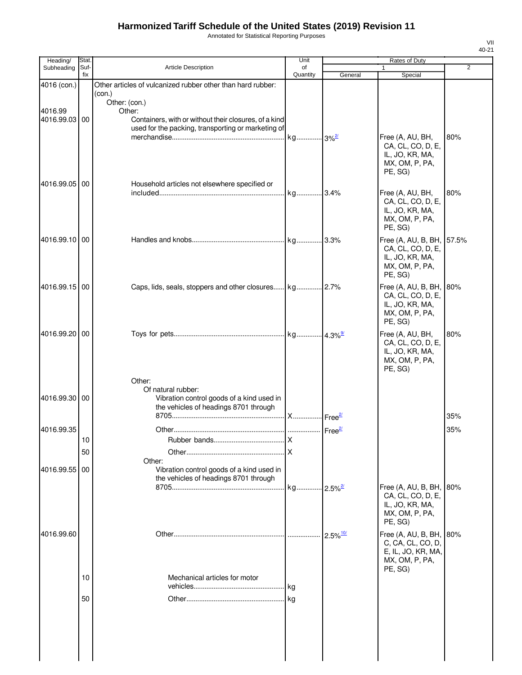Annotated for Statistical Reporting Purposes

| Heading/      | Stat.       |                                                                 | Unit           |         | Rates of Duty                            |                |
|---------------|-------------|-----------------------------------------------------------------|----------------|---------|------------------------------------------|----------------|
| Subheading    | Suf-<br>fix | Article Description                                             | of<br>Quantity | General | $\mathbf{1}$<br>Special                  | $\overline{2}$ |
| 4016 (con.)   |             | Other articles of vulcanized rubber other than hard rubber:     |                |         |                                          |                |
|               |             | (con.)<br>Other: (con.)                                         |                |         |                                          |                |
| 4016.99       |             | Other:                                                          |                |         |                                          |                |
| 4016.99.03    | 00          | Containers, with or without their closures, of a kind           |                |         |                                          |                |
|               |             | used for the packing, transporting or marketing of              |                |         | Free (A, AU, BH,                         | 80%            |
|               |             |                                                                 |                |         | CA, CL, CO, D, E,                        |                |
|               |             |                                                                 |                |         | IL, JO, KR, MA,<br>MX, OM, P, PA,        |                |
|               |             |                                                                 |                |         | PE, SG)                                  |                |
| 4016.99.05 00 |             | Household articles not elsewhere specified or                   |                |         |                                          |                |
|               |             |                                                                 |                |         | Free (A, AU, BH,                         | 80%            |
|               |             |                                                                 |                |         | CA, CL, CO, D, E,<br>IL, JO, KR, MA,     |                |
|               |             |                                                                 |                |         | MX, OM, P, PA,                           |                |
|               |             |                                                                 |                |         | PE, SG)                                  |                |
| 4016.99.10 00 |             |                                                                 |                |         | Free (A, AU, B, BH,<br>CA, CL, CO, D, E, | 57.5%          |
|               |             |                                                                 |                |         | IL, JO, KR, MA,                          |                |
|               |             |                                                                 |                |         | MX, OM, P, PA,<br>PE, SG)                |                |
| 4016.99.15 00 |             |                                                                 |                |         | Free (A, AU, B, BH,                      | 80%            |
|               |             |                                                                 |                |         | CA, CL, CO, D, E,                        |                |
|               |             |                                                                 |                |         | IL, JO, KR, MA,                          |                |
|               |             |                                                                 |                |         | MX, OM, P, PA,<br>PE, SG)                |                |
| 4016.99.20    | 00          |                                                                 |                |         | Free (A, AU, BH,                         | 80%            |
|               |             |                                                                 |                |         | CA, CL, CO, D, E,                        |                |
|               |             |                                                                 |                |         | IL, JO, KR, MA,<br>MX, OM, P, PA,        |                |
|               |             |                                                                 |                |         | PE, SG)                                  |                |
|               |             | Other:                                                          |                |         |                                          |                |
| 4016.99.30 00 |             | Of natural rubber:<br>Vibration control goods of a kind used in |                |         |                                          |                |
|               |             | the vehicles of headings 8701 through                           |                |         |                                          |                |
|               |             |                                                                 |                |         |                                          | 35%            |
| 4016.99.35    |             |                                                                 |                |         |                                          | 35%            |
|               | 10          |                                                                 |                |         |                                          |                |
|               | 50          | Other:                                                          |                |         |                                          |                |
| 4016.99.55    | 00          | Vibration control goods of a kind used in                       |                |         |                                          |                |
|               |             | the vehicles of headings 8701 through                           |                |         |                                          |                |
|               |             |                                                                 |                |         | Free (A, AU, B, BH,<br>CA, CL, CO, D, E, | 80%            |
|               |             |                                                                 |                |         | IL, JO, KR, MA,                          |                |
|               |             |                                                                 |                |         | MX, OM, P, PA,<br>PE, SG)                |                |
| 4016.99.60    |             |                                                                 |                |         | Free (A, AU, B, BH,                      | 80%            |
|               |             |                                                                 |                |         | C, CA, CL, CO, D,                        |                |
|               |             |                                                                 |                |         | E, IL, JO, KR, MA,                       |                |
|               |             |                                                                 |                |         | MX, OM, P, PA,<br>PE, SG)                |                |
|               | 10          | Mechanical articles for motor                                   |                |         |                                          |                |
|               |             |                                                                 |                |         |                                          |                |
|               | 50          |                                                                 |                |         |                                          |                |
|               |             |                                                                 |                |         |                                          |                |
|               |             |                                                                 |                |         |                                          |                |
|               |             |                                                                 |                |         |                                          |                |
|               |             |                                                                 |                |         |                                          |                |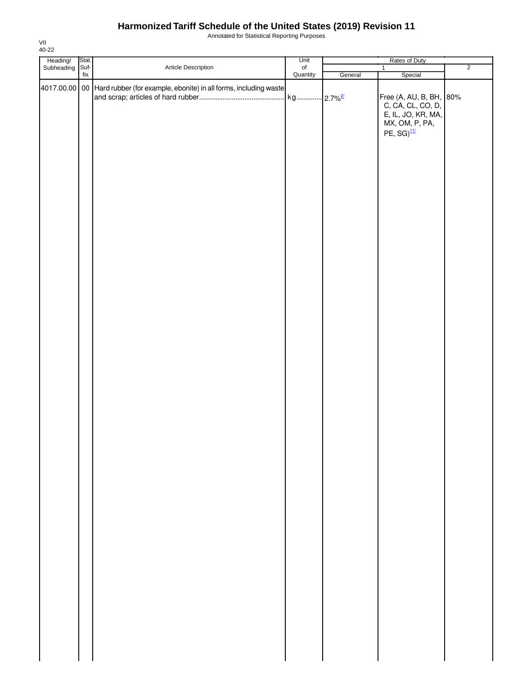Annotated for Statistical Reporting Purposes

|                                   |                          |                                                                                                         | Unit           | Rates of Duty |                                                                                                                                       |                |  |
|-----------------------------------|--------------------------|---------------------------------------------------------------------------------------------------------|----------------|---------------|---------------------------------------------------------------------------------------------------------------------------------------|----------------|--|
|                                   |                          |                                                                                                         |                |               |                                                                                                                                       |                |  |
| Heading/ Stat.<br>Subheading Suf- | $\operatorname{\sf fix}$ | Article Description<br>$4017.00.00$ 00 Hard rubber (for example, ebonite) in all forms, including waste | of<br>Quantity | General       | $\overline{1}$<br>Special<br>Free (A, AU, B, BH, 80%<br>C, CA, CL, CO, D,<br>E, IL, JO, KR, MA,<br>MX, OM, P, PA,<br>PE, $SG)^{11/2}$ | $\overline{2}$ |  |
|                                   |                          |                                                                                                         |                |               |                                                                                                                                       |                |  |
|                                   |                          |                                                                                                         |                |               |                                                                                                                                       |                |  |